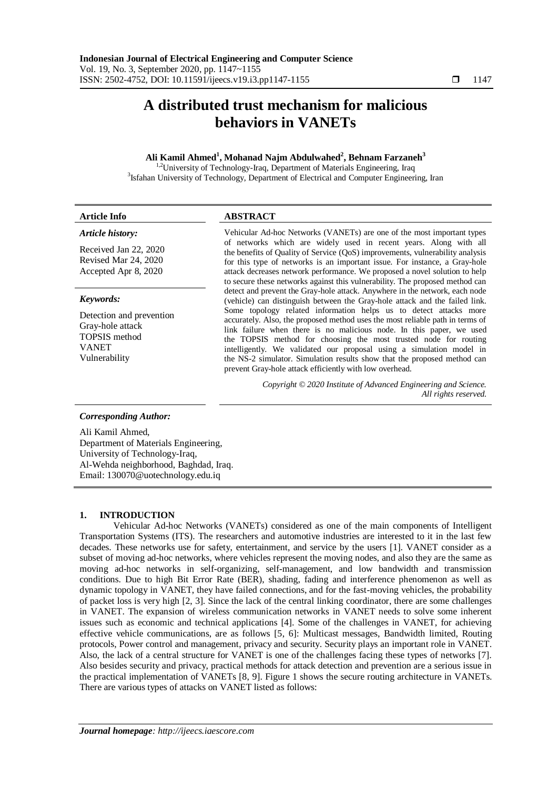# **A distributed trust mechanism for malicious behaviors in VANETs**

# **Ali Kamil Ahmed<sup>1</sup> , Mohanad Najm Abdulwahed<sup>2</sup> , Behnam Farzaneh<sup>3</sup>**

<sup>1,2</sup>University of Technology-Iraq, Department of Materials Engineering, Iraq <sup>3</sup>Isfahan University of Technology, Department of Electrical and Computer Engineering, Iran

| <b>Article Info</b>                                                                                   | <b>ABSTRACT</b>                                                                                                                                                                                                                                                                                                                                                                                                                                                                                                                                                                                                                        |
|-------------------------------------------------------------------------------------------------------|----------------------------------------------------------------------------------------------------------------------------------------------------------------------------------------------------------------------------------------------------------------------------------------------------------------------------------------------------------------------------------------------------------------------------------------------------------------------------------------------------------------------------------------------------------------------------------------------------------------------------------------|
| Article history:<br>Received Jan 22, 2020<br>Revised Mar 24, 2020<br>Accepted Apr 8, 2020             | Vehicular Ad-hoc Networks (VANETs) are one of the most important types<br>of networks which are widely used in recent years. Along with all<br>the benefits of Quality of Service (QoS) improvements, vulnerability analysis<br>for this type of networks is an important issue. For instance, a Gray-hole<br>attack decreases network performance. We proposed a novel solution to help<br>to secure these networks against this vulnerability. The proposed method can<br>detect and prevent the Gray-hole attack. Anywhere in the network, each node<br>(vehicle) can distinguish between the Gray-hole attack and the failed link. |
| Keywords:                                                                                             |                                                                                                                                                                                                                                                                                                                                                                                                                                                                                                                                                                                                                                        |
| Detection and prevention<br>Gray-hole attack<br><b>TOPSIS</b> method<br><b>VANET</b><br>Vulnerability | Some topology related information helps us to detect attacks more<br>accurately. Also, the proposed method uses the most reliable path in terms of<br>link failure when there is no malicious node. In this paper, we used<br>the TOPSIS method for choosing the most trusted node for routing<br>intelligently. We validated our proposal using a simulation model in<br>the NS-2 simulator. Simulation results show that the proposed method can<br>prevent Gray-hole attack efficiently with low overhead.                                                                                                                          |
|                                                                                                       | Copyright © 2020 Institute of Advanced Engineering and Science.<br>All rights reserved.                                                                                                                                                                                                                                                                                                                                                                                                                                                                                                                                                |
| <b>Corresponding Author:</b>                                                                          |                                                                                                                                                                                                                                                                                                                                                                                                                                                                                                                                                                                                                                        |
| Ali Kamil Ahmed,                                                                                      |                                                                                                                                                                                                                                                                                                                                                                                                                                                                                                                                                                                                                                        |

Department of Materials Engineering, University of Technology-Iraq, Al-Wehda neighborhood, Baghdad, Iraq. Email: 130070@uotechnology.edu.iq

# **1. INTRODUCTION**

Vehicular Ad-hoc Networks (VANETs) considered as one of the main components of Intelligent Transportation Systems (ITS). The researchers and automotive industries are interested to it in the last few decades. These networks use for safety, entertainment, and service by the users [1]. VANET consider as a subset of moving ad-hoc networks, where vehicles represent the moving nodes, and also they are the same as moving ad-hoc networks in self-organizing, self-management, and low bandwidth and transmission conditions. Due to high Bit Error Rate (BER), shading, fading and interference phenomenon as well as dynamic topology in VANET, they have failed connections, and for the fast-moving vehicles, the probability of packet loss is very high [2, 3]. Since the lack of the central linking coordinator, there are some challenges in VANET. The expansion of wireless communication networks in VANET needs to solve some inherent issues such as economic and technical applications [4]. Some of the challenges in VANET, for achieving effective vehicle communications, are as follows [5, 6]: Multicast messages, Bandwidth limited, Routing protocols, Power control and management, privacy and security. Security plays an important role in VANET. Also, the lack of a central structure for VANET is one of the challenges facing these types of networks [7]. Also besides security and privacy, practical methods for attack detection and prevention are a serious issue in the practical implementation of VANETs [8, 9]. Figure 1 shows the secure routing architecture in VANETs. There are various types of attacks on VANET listed as follows: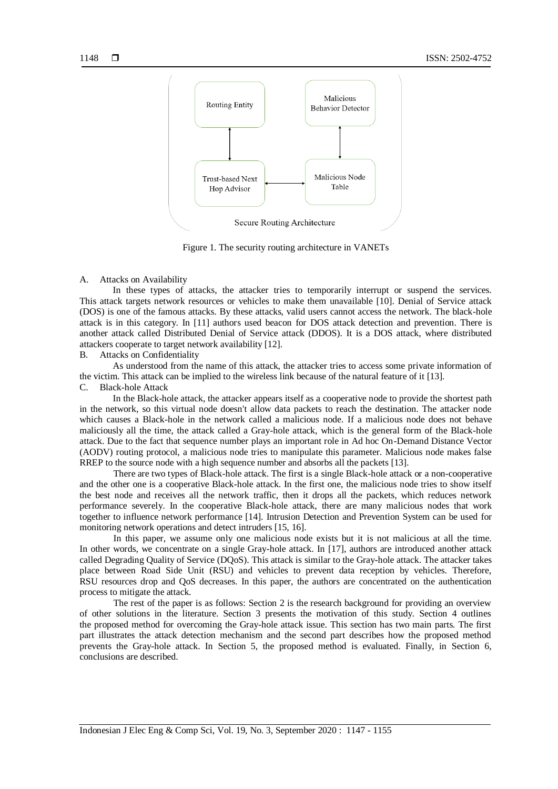

Figure 1. The security routing architecture in VANETs

#### A. Attacks on Availability

In these types of attacks, the attacker tries to temporarily interrupt or suspend the services. This attack targets network resources or vehicles to make them unavailable [10]. Denial of Service attack (DOS) is one of the famous attacks. By these attacks, valid users cannot access the network. The black-hole attack is in this category. In [11] authors used beacon for DOS attack detection and prevention. There is another attack called Distributed Denial of Service attack (DDOS). It is a DOS attack, where distributed attackers cooperate to target network availability [12].

B. Attacks on Confidentiality

As understood from the name of this attack, the attacker tries to access some private information of the victim. This attack can be implied to the wireless link because of the natural feature of it [13].

C. Black-hole Attack

In the Black-hole attack, the attacker appears itself as a cooperative node to provide the shortest path in the network, so this virtual node doesn't allow data packets to reach the destination. The attacker node which causes a Black-hole in the network called a malicious node. If a malicious node does not behave maliciously all the time, the attack called a Gray-hole attack, which is the general form of the Black-hole attack. Due to the fact that sequence number plays an important role in Ad hoc On-Demand Distance Vector (AODV) routing protocol, a malicious node tries to manipulate this parameter. Malicious node makes false RREP to the source node with a high sequence number and absorbs all the packets [13].

There are two types of Black-hole attack. The first is a single Black-hole attack or a non-cooperative and the other one is a cooperative Black-hole attack. In the first one, the malicious node tries to show itself the best node and receives all the network traffic, then it drops all the packets, which reduces network performance severely. In the cooperative Black-hole attack, there are many malicious nodes that work together to influence network performance [14]. Intrusion Detection and Prevention System can be used for monitoring network operations and detect intruders [15, 16].

In this paper, we assume only one malicious node exists but it is not malicious at all the time. In other words, we concentrate on a single Gray-hole attack. In [17], authors are introduced another attack called Degrading Quality of Service (DQoS). This attack is similar to the Gray-hole attack. The attacker takes place between Road Side Unit (RSU) and vehicles to prevent data reception by vehicles. Therefore, RSU resources drop and QoS decreases. In this paper, the authors are concentrated on the authentication process to mitigate the attack.

The rest of the paper is as follows: Section 2 is the research background for providing an overview of other solutions in the literature. Section 3 presents the motivation of this study. Section 4 outlines the proposed method for overcoming the Gray-hole attack issue. This section has two main parts. The first part illustrates the attack detection mechanism and the second part describes how the proposed method prevents the Gray-hole attack. In Section 5, the proposed method is evaluated. Finally, in Section 6, conclusions are described.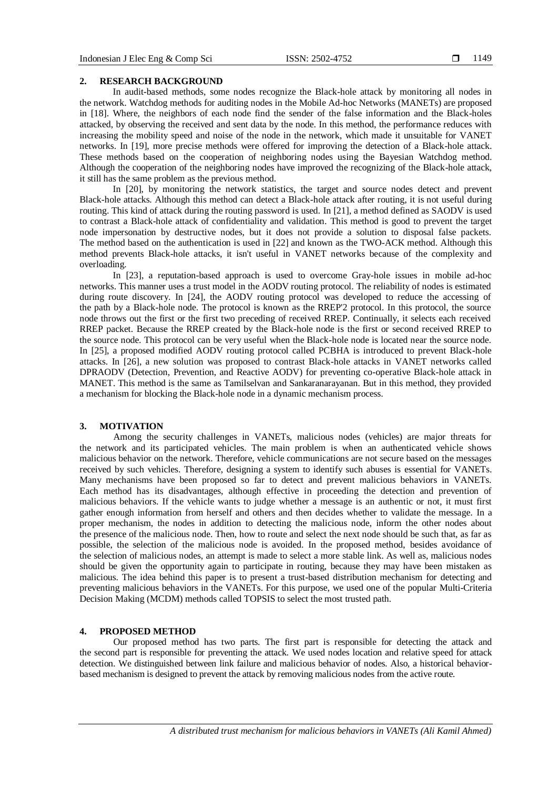### **2. RESEARCH BACKGROUND**

In audit-based methods, some nodes recognize the Black-hole attack by monitoring all nodes in the network. Watchdog methods for auditing nodes in the Mobile Ad-hoc Networks (MANETs) are proposed in [18]. Where, the neighbors of each node find the sender of the false information and the Black-holes attacked, by observing the received and sent data by the node. In this method, the performance reduces with increasing the mobility speed and noise of the node in the network, which made it unsuitable for VANET networks. In [19], more precise methods were offered for improving the detection of a Black-hole attack. These methods based on the cooperation of neighboring nodes using the Bayesian Watchdog method. Although the cooperation of the neighboring nodes have improved the recognizing of the Black-hole attack, it still has the same problem as the previous method.

In [20], by monitoring the network statistics, the target and source nodes detect and prevent Black-hole attacks. Although this method can detect a Black-hole attack after routing, it is not useful during routing. This kind of attack during the routing password is used. In [21], a method defined as SAODV is used to contrast a Black-hole attack of confidentiality and validation. This method is good to prevent the target node impersonation by destructive nodes, but it does not provide a solution to disposal false packets. The method based on the authentication is used in [22] and known as the TWO-ACK method. Although this method prevents Black-hole attacks, it isn't useful in VANET networks because of the complexity and overloading.

In [23], a reputation-based approach is used to overcome Gray-hole issues in mobile ad-hoc networks. This manner uses a trust model in the AODV routing protocol. The reliability of nodes is estimated during route discovery. In [24], the AODV routing protocol was developed to reduce the accessing of the path by a Black-hole node. The protocol is known as the RREP'2 protocol. In this protocol, the source node throws out the first or the first two preceding of received RREP. Continually, it selects each received RREP packet. Because the RREP created by the Black-hole node is the first or second received RREP to the source node. This protocol can be very useful when the Black-hole node is located near the source node. In [25], a proposed modified AODV routing protocol called PCBHA is introduced to prevent Black-hole attacks. In [26], a new solution was proposed to contrast Black-hole attacks in VANET networks called DPRAODV (Detection, Prevention, and Reactive AODV) for preventing co-operative Black-hole attack in MANET. This method is the same as Tamilselvan and Sankaranarayanan. But in this method, they provided a mechanism for blocking the Black-hole node in a dynamic mechanism process.

## **3. MOTIVATION**

Among the security challenges in VANETs, malicious nodes (vehicles) are major threats for the network and its participated vehicles. The main problem is when an authenticated vehicle shows malicious behavior on the network. Therefore, vehicle communications are not secure based on the messages received by such vehicles. Therefore, designing a system to identify such abuses is essential for VANETs. Many mechanisms have been proposed so far to detect and prevent malicious behaviors in VANETs. Each method has its disadvantages, although effective in proceeding the detection and prevention of malicious behaviors. If the vehicle wants to judge whether a message is an authentic or not, it must first gather enough information from herself and others and then decides whether to validate the message. In a proper mechanism, the nodes in addition to detecting the malicious node, inform the other nodes about the presence of the malicious node. Then, how to route and select the next node should be such that, as far as possible, the selection of the malicious node is avoided. In the proposed method, besides avoidance of the selection of malicious nodes, an attempt is made to select a more stable link. As well as, malicious nodes should be given the opportunity again to participate in routing, because they may have been mistaken as malicious. The idea behind this paper is to present a trust-based distribution mechanism for detecting and preventing malicious behaviors in the VANETs. For this purpose, we used one of the popular Multi-Criteria Decision Making (MCDM) methods called TOPSIS to select the most trusted path.

# **4. PROPOSED METHOD**

Our proposed method has two parts. The first part is responsible for detecting the attack and the second part is responsible for preventing the attack. We used nodes location and relative speed for attack detection. We distinguished between link failure and malicious behavior of nodes. Also, a historical behaviorbased mechanism is designed to prevent the attack by removing malicious nodes from the active route.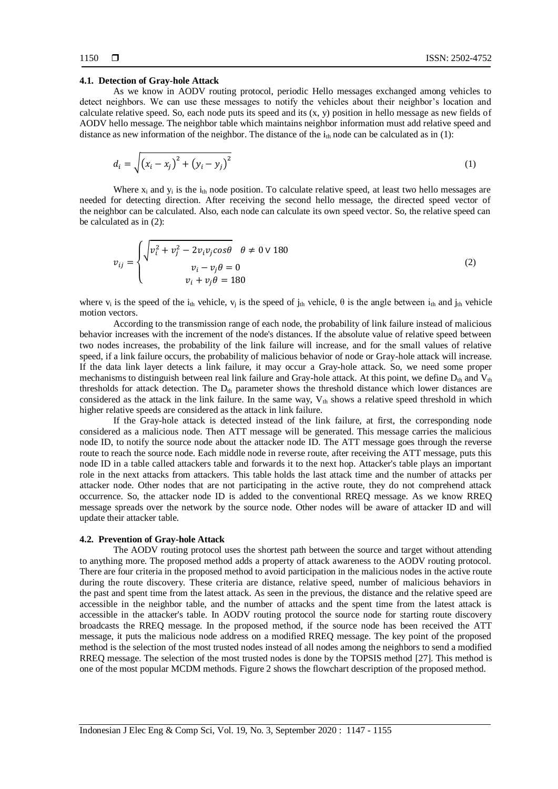#### **4.1. Detection of Gray-hole Attack**

As we know in AODV routing protocol, periodic Hello messages exchanged among vehicles to detect neighbors. We can use these messages to notify the vehicles about their neighbor's location and calculate relative speed. So, each node puts its speed and its  $(x, y)$  position in hello message as new fields of AODV hello message. The neighbor table which maintains neighbor information must add relative speed and distance as new information of the neighbor. The distance of the  $i_{th}$  node can be calculated as in (1):

$$
d_i = \sqrt{(x_i - x_j)^2 + (y_i - y_j)^2}
$$
 (1)

Where  $x_i$  and  $y_i$  is the  $i_{th}$  node position. To calculate relative speed, at least two hello messages are needed for detecting direction. After receiving the second hello message, the directed speed vector of the neighbor can be calculated. Also, each node can calculate its own speed vector. So, the relative speed can be calculated as in (2):

$$
v_{ij} = \begin{cases} \sqrt{v_i^2 + v_j^2 - 2v_i v_j \cos \theta} & \theta \neq 0 \vee 180 \\ v_i - v_j \theta = 0 \\ v_i + v_j \theta = 180 \end{cases}
$$
 (2)

where  $v_i$  is the speed of the i<sub>th</sub> vehicle,  $v_j$  is the speed of j<sub>th</sub> vehicle,  $\theta$  is the angle between i<sub>th</sub> and j<sub>th</sub> vehicle motion vectors.

According to the transmission range of each node, the probability of link failure instead of malicious behavior increases with the increment of the node's distances. If the absolute value of relative speed between two nodes increases, the probability of the link failure will increase, and for the small values of relative speed, if a link failure occurs, the probability of malicious behavior of node or Gray-hole attack will increase. If the data link layer detects a link failure, it may occur a Gray-hole attack. So, we need some proper mechanisms to distinguish between real link failure and Gray-hole attack. At this point, we define  $D_{th}$  and  $V_{th}$ thresholds for attack detection. The  $D_{th}$  parameter shows the threshold distance which lower distances are considered as the attack in the link failure. In the same way,  $V_{th}$  shows a relative speed threshold in which higher relative speeds are considered as the attack in link failure.

If the Gray-hole attack is detected instead of the link failure, at first, the corresponding node considered as a malicious node. Then ATT message will be generated. This message carries the malicious node ID, to notify the source node about the attacker node ID. The ATT message goes through the reverse route to reach the source node. Each middle node in reverse route, after receiving the ATT message, puts this node ID in a table called attackers table and forwards it to the next hop. Attacker's table plays an important role in the next attacks from attackers. This table holds the last attack time and the number of attacks per attacker node. Other nodes that are not participating in the active route, they do not comprehend attack occurrence. So, the attacker node ID is added to the conventional RREQ message. As we know RREQ message spreads over the network by the source node. Other nodes will be aware of attacker ID and will update their attacker table.

#### **4.2. Prevention of Gray-hole Attack**

The AODV routing protocol uses the shortest path between the source and target without attending to anything more. The proposed method adds a property of attack awareness to the AODV routing protocol. There are four criteria in the proposed method to avoid participation in the malicious nodes in the active route during the route discovery. These criteria are distance, relative speed, number of malicious behaviors in the past and spent time from the latest attack. As seen in the previous, the distance and the relative speed are accessible in the neighbor table, and the number of attacks and the spent time from the latest attack is accessible in the attacker's table. In AODV routing protocol the source node for starting route discovery broadcasts the RREQ message. In the proposed method, if the source node has been received the ATT message, it puts the malicious node address on a modified RREQ message. The key point of the proposed method is the selection of the most trusted nodes instead of all nodes among the neighbors to send a modified RREQ message. The selection of the most trusted nodes is done by the TOPSIS method [27]. This method is one of the most popular MCDM methods. Figure 2 shows the flowchart description of the proposed method.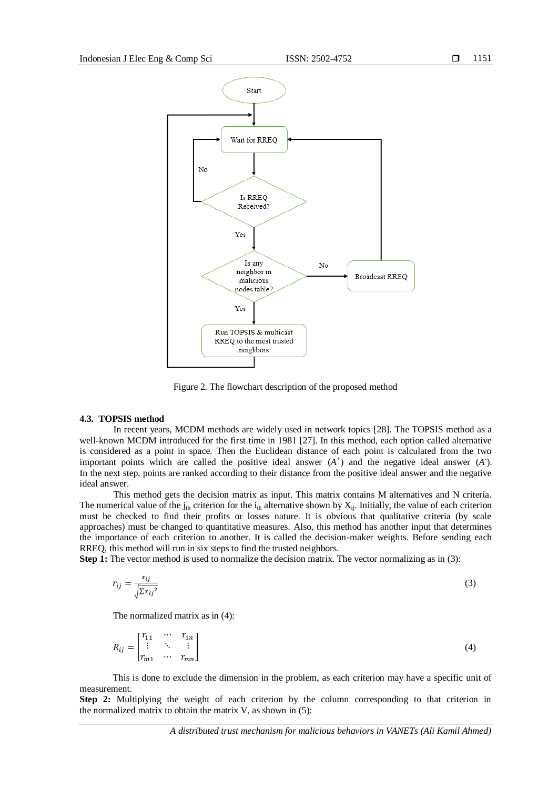

Figure 2. The flowchart description of the proposed method

#### **4.3. TOPSIS method**

In recent years, MCDM methods are widely used in network topics [28]. The TOPSIS method as a well-known MCDM introduced for the first time in 1981 [27]. In this method, each option called alternative is considered as a point in space. Then the Euclidean distance of each point is calculated from the two important points which are called the positive ideal answer  $(A^+)$  and the negative ideal answer  $(A^+)$ . In the next step, points are ranked according to their distance from the positive ideal answer and the negative ideal answer.

This method gets the decision matrix as input. This matrix contains M alternatives and N criteria. The numerical value of the  $j_{th}$  criterion for the  $i_{th}$  alternative shown by  $X_{ij}$ . Initially, the value of each criterion must be checked to find their profits or losses nature. It is obvious that qualitative criteria (by scale approaches) must be changed to quantitative measures. Also, this method has another input that determines the importance of each criterion to another. It is called the decision-maker weights. Before sending each RREQ, this method will run in six steps to find the trusted neighbors.

**Step 1:** The vector method is used to normalize the decision matrix. The vector normalizing as in (3):

$$
r_{ij} = \frac{x_{ij}}{\sqrt{\sum x_{ij}^2}}\tag{3}
$$

The normalized matrix as in (4):

$$
R_{ij} = \begin{bmatrix} r_{11} & \cdots & r_{1n} \\ \vdots & \ddots & \vdots \\ r_{m1} & \cdots & r_{mn} \end{bmatrix}
$$
 (4)

This is done to exclude the dimension in the problem, as each criterion may have a specific unit of measurement.

**Step 2:** Multiplying the weight of each criterion by the column corresponding to that criterion in the normalized matrix to obtain the matrix  $V$ , as shown in  $(5)$ :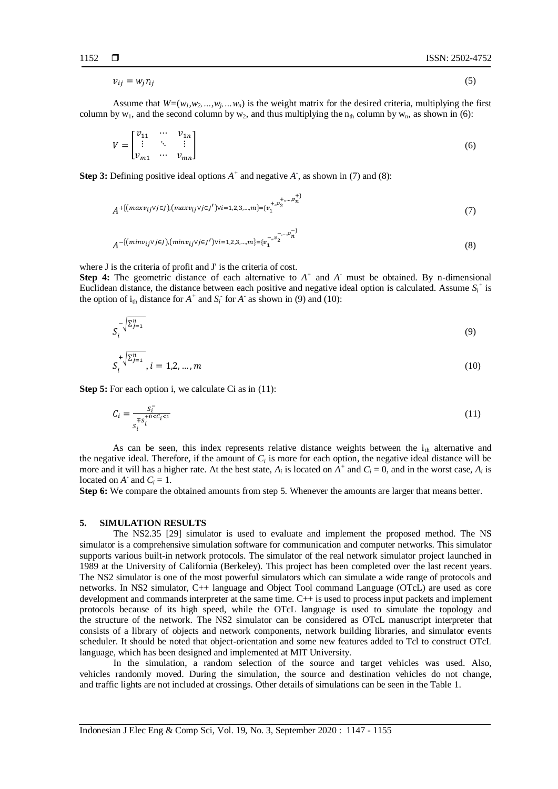$$
v_{ij} = w_j r_{ij} \tag{5}
$$

Assume that  $W=(w_1, w_2, ..., w_j, ..., w_n)$  is the weight matrix for the desired criteria, multiplying the first column by  $w_1$ , and the second column by  $w_2$ , and thus multiplying the n<sub>th</sub> column by  $w_n$ , as shown in (6):

$$
V = \begin{bmatrix} v_{11} & \cdots & v_{1n} \\ \vdots & \ddots & \vdots \\ v_{m1} & \cdots & v_{mn} \end{bmatrix}
$$
 (6)

**Step 3:** Defining positive ideal options *A +* and negative *A -* , as shown in (7) and (8):

$$
A^{+[(maxv_{ij} \vee j \in J), (maxv_{ij} \vee j \in J') \vee i=1,2,3,...,m]} = \{v_1^{+,v_2^{+,...,v_n^{+,}}(n)} \tag{7}
$$

$$
A^{-\{(minv_{ij} \vee j \in J), (minv_{ij} \vee j \in J') \vee i=1,2,3,...,m\}=\{v_1^{-,v_2^{-,...,v_n}}\}
$$
\n
$$
(8)
$$

where J is the criteria of profit and J' is the criteria of cost.

**Step 4:** The geometric distance of each alternative to  $A^+$  and  $A^-$  must be obtained. By n-dimensional Euclidean distance, the distance between each positive and negative ideal option is calculated. Assume  $S_i^+$  is the option of  $i_{th}$  distance for  $A^+$  and  $S_i^-$  for  $A^-$  as shown in (9) and (10):

$$
S_i^{-\sqrt{\sum_{j=1}^n \left(\sum_{j=1}^n \right)}} \tag{9}
$$

$$
S_i^{+ \sqrt{\sum_{j=1}^n} }, i = 1, 2, ..., m
$$
 (10)

**Step 5:** For each option i, we calculate Ci as in (11):

$$
C_i = \frac{s_i^-}{s_i^{+s_i^+ \circ < c_i < t}}\tag{11}
$$

As can be seen, this index represents relative distance weights between the  $i_{th}$  alternative and the negative ideal. Therefore, if the amount of  $C_i$  is more for each option, the negative ideal distance will be more and it will has a higher rate. At the best state,  $A_i$  is located on  $A^+$  and  $C_i = 0$ , and in the worst case,  $A_i$  is located on  $A^{\dagger}$  and  $C_i = 1$ .

**Step 6:** We compare the obtained amounts from step 5. Whenever the amounts are larger that means better.

#### **5. SIMULATION RESULTS**

The NS2.35 [29] simulator is used to evaluate and implement the proposed method. The NS simulator is a comprehensive simulation software for communication and computer networks. This simulator supports various built-in network protocols. The simulator of the real network simulator project launched in 1989 at the University of California (Berkeley). This project has been completed over the last recent years. The NS2 simulator is one of the most powerful simulators which can simulate a wide range of protocols and networks. In NS2 simulator, C++ language and Object Tool command Language (OTcL) are used as core development and commands interpreter at the same time. C++ is used to process input packets and implement protocols because of its high speed, while the OTcL language is used to simulate the topology and the structure of the network. The NS2 simulator can be considered as OTcL manuscript interpreter that consists of a library of objects and network components, network building libraries, and simulator events scheduler. It should be noted that object-orientation and some new features added to Tcl to construct OTcL language, which has been designed and implemented at MIT University.

In the simulation, a random selection of the source and target vehicles was used. Also, vehicles randomly moved. During the simulation, the source and destination vehicles do not change, and traffic lights are not included at crossings. Other details of simulations can be seen in the Table 1.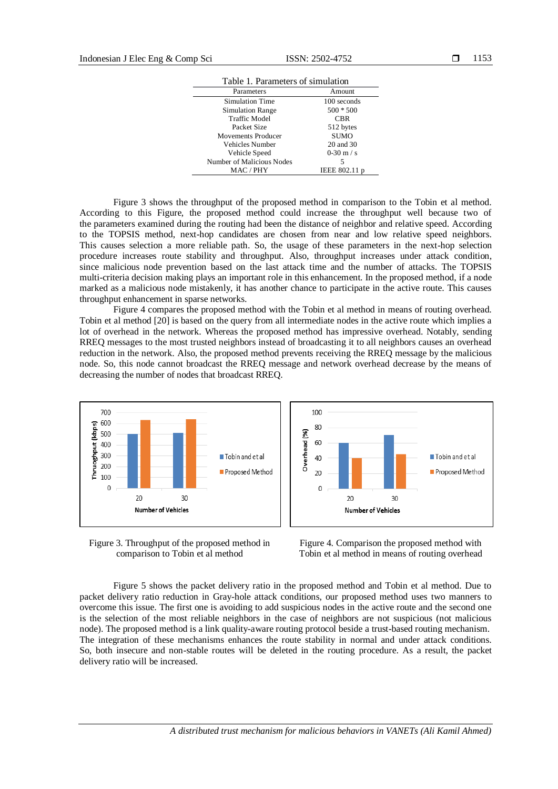| Table 1. Parameters of simulation |               |  |
|-----------------------------------|---------------|--|
| Parameters                        | Amount        |  |
| Simulation Time                   | 100 seconds   |  |
| Simulation Range                  | $500 * 500$   |  |
| <b>Traffic Model</b>              | CBR           |  |
| Packet Size                       | 512 bytes     |  |
| Movements Producer                | <b>SUMO</b>   |  |
| Vehicles Number                   | 20 and 30     |  |
| Vehicle Speed                     | $0-30$ m / s  |  |
| Number of Malicious Nodes         | 5             |  |
| MAC / PHY                         | IEEE 802.11 p |  |

Figure 3 shows the throughput of the proposed method in comparison to the Tobin et al method. According to this Figure, the proposed method could increase the throughput well because two of the parameters examined during the routing had been the distance of neighbor and relative speed. According to the TOPSIS method, next-hop candidates are chosen from near and low relative speed neighbors. This causes selection a more reliable path. So, the usage of these parameters in the next-hop selection procedure increases route stability and throughput. Also, throughput increases under attack condition, since malicious node prevention based on the last attack time and the number of attacks. The TOPSIS multi-criteria decision making plays an important role in this enhancement. In the proposed method, if a node marked as a malicious node mistakenly, it has another chance to participate in the active route. This causes throughput enhancement in sparse networks.

Figure 4 compares the proposed method with the Tobin et al method in means of routing overhead. Tobin et al method [20] is based on the query from all intermediate nodes in the active route which implies a lot of overhead in the network. Whereas the proposed method has impressive overhead. Notably, sending RREQ messages to the most trusted neighbors instead of broadcasting it to all neighbors causes an overhead reduction in the network. Also, the proposed method prevents receiving the RREQ message by the malicious node. So, this node cannot broadcast the RREQ message and network overhead decrease by the means of decreasing the number of nodes that broadcast RREQ.



Figure 3. Throughput of the proposed method in comparison to Tobin et al method



Figure 4. Comparison the proposed method with Tobin et al method in means of routing overhead

Figure 5 shows the packet delivery ratio in the proposed method and Tobin et al method. Due to packet delivery ratio reduction in Gray-hole attack conditions, our proposed method uses two manners to overcome this issue. The first one is avoiding to add suspicious nodes in the active route and the second one is the selection of the most reliable neighbors in the case of neighbors are not suspicious (not malicious node). The proposed method is a link quality-aware routing protocol beside a trust-based routing mechanism. The integration of these mechanisms enhances the route stability in normal and under attack conditions. So, both insecure and non-stable routes will be deleted in the routing procedure. As a result, the packet delivery ratio will be increased.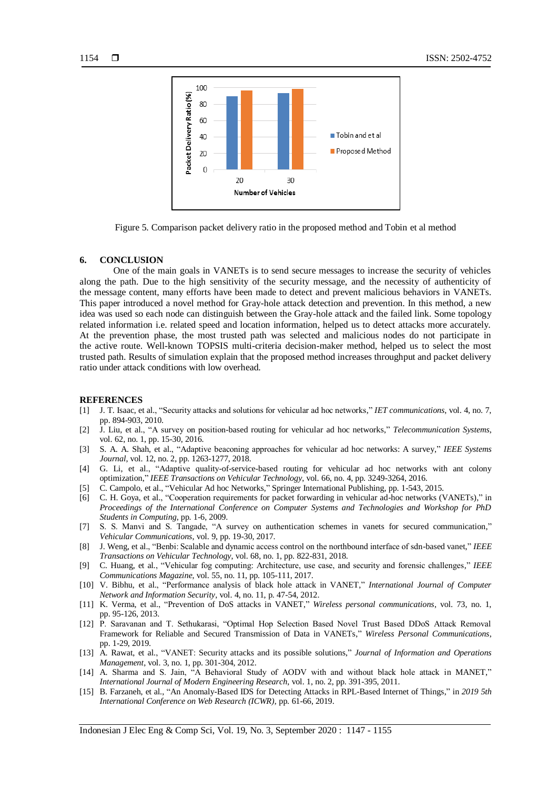

Figure 5. Comparison packet delivery ratio in the proposed method and Tobin et al method

# **6. CONCLUSION**

One of the main goals in VANETs is to send secure messages to increase the security of vehicles along the path. Due to the high sensitivity of the security message, and the necessity of authenticity of the message content, many efforts have been made to detect and prevent malicious behaviors in VANETs. This paper introduced a novel method for Gray-hole attack detection and prevention. In this method, a new idea was used so each node can distinguish between the Gray-hole attack and the failed link. Some topology related information i.e. related speed and location information, helped us to detect attacks more accurately. At the prevention phase, the most trusted path was selected and malicious nodes do not participate in the active route. Well-known TOPSIS multi-criteria decision-maker method, helped us to select the most trusted path. Results of simulation explain that the proposed method increases throughput and packet delivery ratio under attack conditions with low overhead.

#### **REFERENCES**

- [1] J. T. Isaac, et al., "Security attacks and solutions for vehicular ad hoc networks," *IET communications*, vol. 4, no. 7, pp. 894-903, 2010.
- [2] J. Liu, et al., "A survey on position-based routing for vehicular ad hoc networks," *Telecommunication Systems*, vol. 62, no. 1, pp. 15-30, 2016.
- [3] S. A. A. Shah, et al., "Adaptive beaconing approaches for vehicular ad hoc networks: A survey," *IEEE Systems Journal*, vol. 12, no. 2, pp. 1263-1277, 2018.
- [4] G. Li, et al., "Adaptive quality-of-service-based routing for vehicular ad hoc networks with ant colony optimization," *IEEE Transactions on Vehicular Technology*, vol. 66, no. 4, pp. 3249-3264, 2016.
- [5] C. Campolo, et al., "Vehicular Ad hoc Networks," Springer International Publishing, pp. 1-543, 2015.
- [6] C. H. Goya, et al., "Cooperation requirements for packet forwarding in vehicular ad-hoc networks (VANETs)," in *Proceedings of the International Conference on Computer Systems and Technologies and Workshop for PhD Students in Computing*, pp. 1-6, 2009.
- [7] S. S. Manvi and S. Tangade, "A survey on authentication schemes in vanets for secured communication," *Vehicular Communications*, vol. 9, pp. 19-30, 2017.
- [8] J. Weng, et al., "Benbi: Scalable and dynamic access control on the northbound interface of sdn-based vanet," *IEEE Transactions on Vehicular Technology*, vol. 68, no. 1, pp. 822-831, 2018.
- [9] C. Huang, et al., "Vehicular fog computing: Architecture, use case, and security and forensic challenges," *IEEE Communications Magazine*, vol. 55, no. 11, pp. 105-111, 2017.
- [10] V. Bibhu, et al., "Performance analysis of black hole attack in VANET," *International Journal of Computer Network and Information Security*, vol. 4, no. 11, p. 47-54, 2012.
- [11] K. Verma, et al., "Prevention of DoS attacks in VANET," *Wireless personal communications*, vol. 73, no. 1, pp. 95-126, 2013.
- [12] P. Saravanan and T. Sethukarasi, "Optimal Hop Selection Based Novel Trust Based DDoS Attack Removal Framework for Reliable and Secured Transmission of Data in VANETs," *Wireless Personal Communications*, pp. 1-29, 2019.
- [13] A. Rawat, et al., "VANET: Security attacks and its possible solutions," *Journal of Information and Operations Management*, vol. 3, no. 1, pp. 301-304, 2012.
- [14] A. Sharma and S. Jain, "A Behavioral Study of AODV with and without black hole attack in MANET," *International Journal of Modern Engineering Research*, vol. 1, no. 2, pp. 391-395, 2011.
- [15] B. Farzaneh, et al., "An Anomaly-Based IDS for Detecting Attacks in RPL-Based Internet of Things," in *2019 5th International Conference on Web Research (ICWR)*, pp. 61-66, 2019.